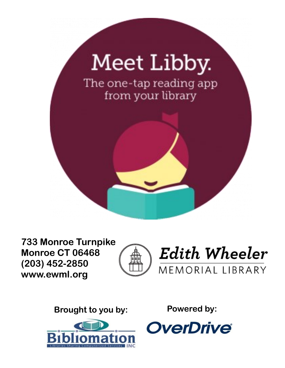

**733 Monroe Turnpike Monroe CT 06468 (203) 452-2850 www.ewml.org**





**Brought to you by: Powered by:**



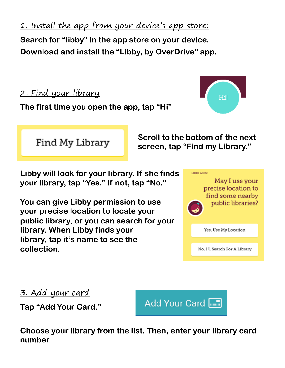1. Install the app from your device's app store:

**Search for "libby" in the app store on your device. Download and install the "Libby, by OverDrive" app.**

2. Find your library Hil **The first time you open the app, tap "Hi" Scroll to the bottom of the next**  Find My Library **screen, tap "Find my Library." Libby will look for your library. If she finds**  LIBBY ASKS: **your library, tap "Yes." If not, tap "No."**

**You can give Libby permission to use your precise location to locate your public library, or you can search for your library. When Libby finds your library, tap it's name to see the collection.**



Yes, Use My Location

No, I'll Search For A Library

3. Add your card

**Tap "Add Your Card."**



**Choose your library from the list. Then, enter your library card number.**

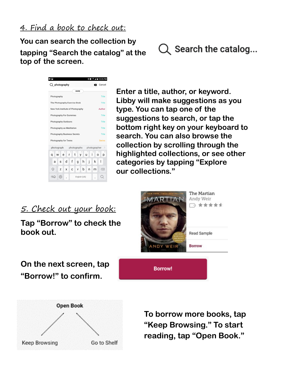**You can search the collection by tapping "Search the catalog" at the top of the screen.** 





**Enter a title, author, or keyword. Libby will make suggestions as you type. You can tap one of the suggestions to search, or tap the bottom right key on your keyboard to search. You can also browse the collection by scrolling through the highlighted collections, or see other categories by tapping "Explore our collections."**

5. Check out your book:

**Tap "Borrow" to check the book out.** 



## **On the next screen, tap "Borrow!" to confirm.**



**To borrow more books, tap "Keep Browsing." To start reading, tap "Open Book."**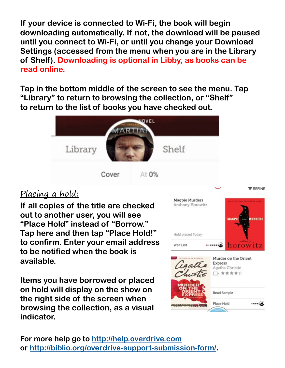**If your device is connected to Wi-Fi, the book will begin downloading automatically. If not, the download will be paused until you connect to Wi-Fi, or until you change your Download Settings (accessed from the menu when you are in the Library of Shelf). Downloading is optional in Libby, as books can be read online.**

**Tap in the bottom middle of the screen to see the menu. Tap "Library" to return to browsing the collection, or "Shelf" to return to the list of books you have checked out.**



### Placing a hold:

**If all copies of the title are checked out to another user, you will see "Place Hold" instead of "Borrow." Tap here and then tap "Place Hold!" to confirm. Enter your email address to be notified when the book is available.**

**Items you have borrowed or placed on hold will display on the show on the right side of the screen when browsing the collection, as a visual indicator.**



**For more help go to<http://help.overdrive.com> or [http://biblio.org/overdrive-support-submission-form/.](http://biblio.org/overdrive-support-submission-form/)**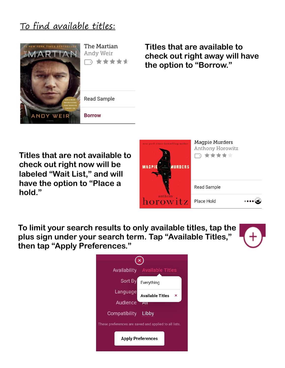## To find available titles:



The Martian Andy Weir □ ★★★★★



**Titles that are available to check out right away will have the option to "Borrow."**

**Titles that are not available to check out right now will be labeled "Wait List," and will have the option to "Place a hold."**



**To limit your search results to only available titles, tap the plus sign under your search term. Tap "Available Titles," then tap "Apply Preferences."**